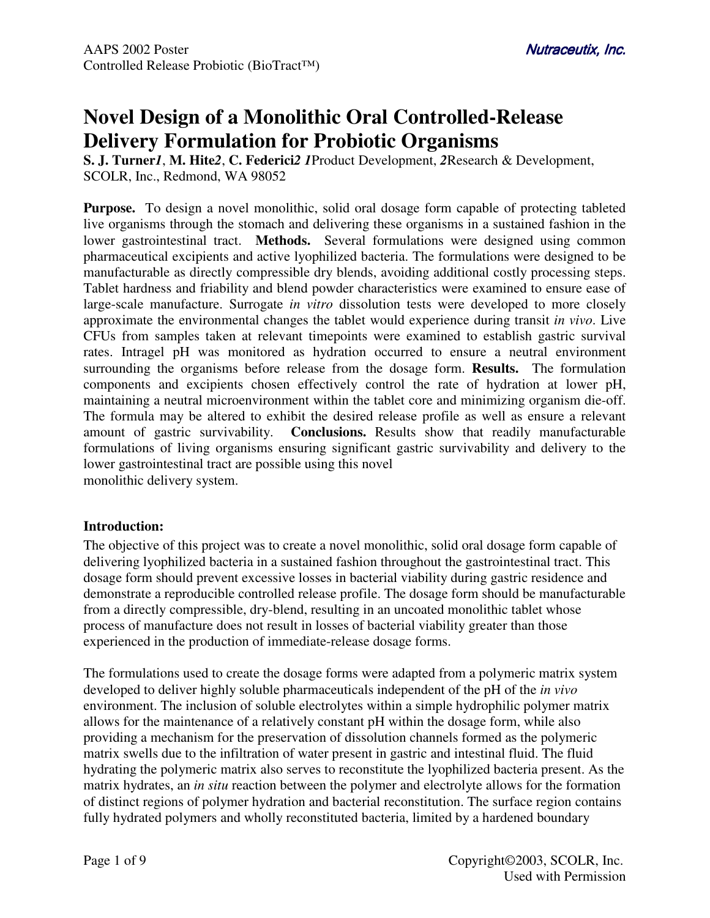# **Novel Design of a Monolithic Oral Controlled-Release Delivery Formulation for Probiotic Organisms**

**S. J. Turner***1*, **M. Hite***2*, **C. Federici***2 1*Product Development, *2*Research & Development, SCOLR, Inc., Redmond, WA 98052

**Purpose.** To design a novel monolithic, solid oral dosage form capable of protecting tableted live organisms through the stomach and delivering these organisms in a sustained fashion in the lower gastrointestinal tract. **Methods.** Several formulations were designed using common pharmaceutical excipients and active lyophilized bacteria. The formulations were designed to be manufacturable as directly compressible dry blends, avoiding additional costly processing steps. Tablet hardness and friability and blend powder characteristics were examined to ensure ease of large-scale manufacture. Surrogate *in vitro* dissolution tests were developed to more closely approximate the environmental changes the tablet would experience during transit *in vivo*. Live CFUs from samples taken at relevant timepoints were examined to establish gastric survival rates. Intragel pH was monitored as hydration occurred to ensure a neutral environment surrounding the organisms before release from the dosage form. **Results.** The formulation components and excipients chosen effectively control the rate of hydration at lower pH, maintaining a neutral microenvironment within the tablet core and minimizing organism die-off. The formula may be altered to exhibit the desired release profile as well as ensure a relevant amount of gastric survivability. **Conclusions.** Results show that readily manufacturable formulations of living organisms ensuring significant gastric survivability and delivery to the lower gastrointestinal tract are possible using this novel monolithic delivery system.

# **Introduction:**

The objective of this project was to create a novel monolithic, solid oral dosage form capable of delivering lyophilized bacteria in a sustained fashion throughout the gastrointestinal tract. This dosage form should prevent excessive losses in bacterial viability during gastric residence and demonstrate a reproducible controlled release profile. The dosage form should be manufacturable from a directly compressible, dry-blend, resulting in an uncoated monolithic tablet whose process of manufacture does not result in losses of bacterial viability greater than those experienced in the production of immediate-release dosage forms.

The formulations used to create the dosage forms were adapted from a polymeric matrix system developed to deliver highly soluble pharmaceuticals independent of the pH of the *in vivo* environment. The inclusion of soluble electrolytes within a simple hydrophilic polymer matrix allows for the maintenance of a relatively constant pH within the dosage form, while also providing a mechanism for the preservation of dissolution channels formed as the polymeric matrix swells due to the infiltration of water present in gastric and intestinal fluid. The fluid hydrating the polymeric matrix also serves to reconstitute the lyophilized bacteria present. As the matrix hydrates, an *in situ* reaction between the polymer and electrolyte allows for the formation of distinct regions of polymer hydration and bacterial reconstitution. The surface region contains fully hydrated polymers and wholly reconstituted bacteria, limited by a hardened boundary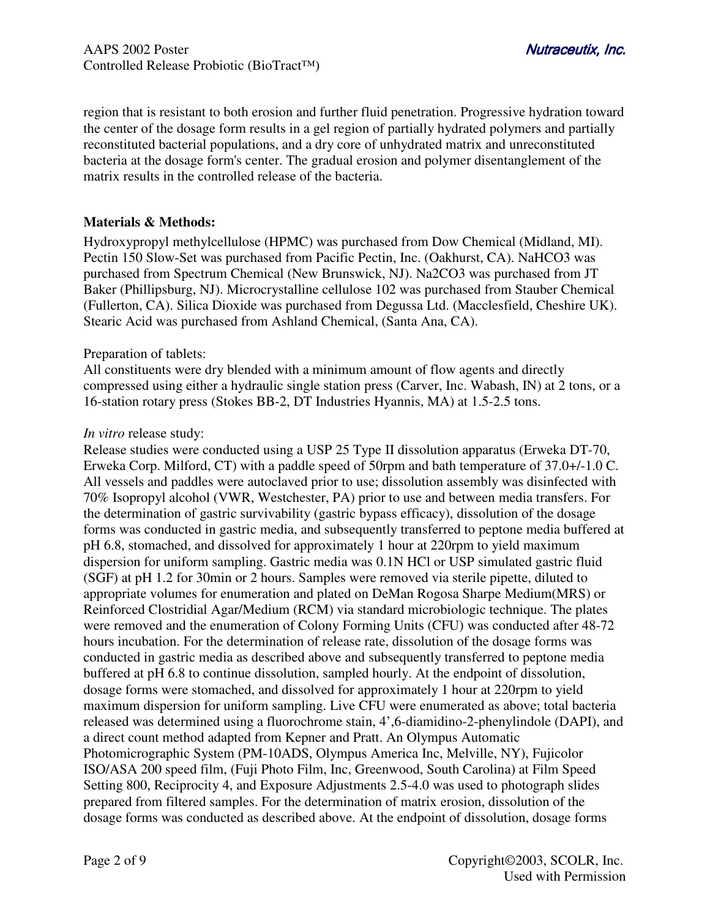region that is resistant to both erosion and further fluid penetration. Progressive hydration toward the center of the dosage form results in a gel region of partially hydrated polymers and partially reconstituted bacterial populations, and a dry core of unhydrated matrix and unreconstituted bacteria at the dosage form's center. The gradual erosion and polymer disentanglement of the matrix results in the controlled release of the bacteria.

## **Materials & Methods:**

Hydroxypropyl methylcellulose (HPMC) was purchased from Dow Chemical (Midland, MI). Pectin 150 Slow-Set was purchased from Pacific Pectin, Inc. (Oakhurst, CA). NaHCO3 was purchased from Spectrum Chemical (New Brunswick, NJ). Na2CO3 was purchased from JT Baker (Phillipsburg, NJ). Microcrystalline cellulose 102 was purchased from Stauber Chemical (Fullerton, CA). Silica Dioxide was purchased from Degussa Ltd. (Macclesfield, Cheshire UK). Stearic Acid was purchased from Ashland Chemical, (Santa Ana, CA).

## Preparation of tablets:

All constituents were dry blended with a minimum amount of flow agents and directly compressed using either a hydraulic single station press (Carver, Inc. Wabash, IN) at 2 tons, or a 16-station rotary press (Stokes BB-2, DT Industries Hyannis, MA) at 1.5-2.5 tons.

## *In vitro* release study:

Release studies were conducted using a USP 25 Type II dissolution apparatus (Erweka DT-70, Erweka Corp. Milford, CT) with a paddle speed of 50rpm and bath temperature of 37.0+/-1.0 C. All vessels and paddles were autoclaved prior to use; dissolution assembly was disinfected with 70% Isopropyl alcohol (VWR, Westchester, PA) prior to use and between media transfers. For the determination of gastric survivability (gastric bypass efficacy), dissolution of the dosage forms was conducted in gastric media, and subsequently transferred to peptone media buffered at pH 6.8, stomached, and dissolved for approximately 1 hour at 220rpm to yield maximum dispersion for uniform sampling. Gastric media was 0.1N HCl or USP simulated gastric fluid (SGF) at pH 1.2 for 30min or 2 hours. Samples were removed via sterile pipette, diluted to appropriate volumes for enumeration and plated on DeMan Rogosa Sharpe Medium(MRS) or Reinforced Clostridial Agar/Medium (RCM) via standard microbiologic technique. The plates were removed and the enumeration of Colony Forming Units (CFU) was conducted after 48-72 hours incubation. For the determination of release rate, dissolution of the dosage forms was conducted in gastric media as described above and subsequently transferred to peptone media buffered at pH 6.8 to continue dissolution, sampled hourly. At the endpoint of dissolution, dosage forms were stomached, and dissolved for approximately 1 hour at 220rpm to yield maximum dispersion for uniform sampling. Live CFU were enumerated as above; total bacteria released was determined using a fluorochrome stain, 4',6-diamidino-2-phenylindole (DAPI), and a direct count method adapted from Kepner and Pratt. An Olympus Automatic Photomicrographic System (PM-10ADS, Olympus America Inc, Melville, NY), Fujicolor ISO/ASA 200 speed film, (Fuji Photo Film, Inc, Greenwood, South Carolina) at Film Speed Setting 800, Reciprocity 4, and Exposure Adjustments 2.5-4.0 was used to photograph slides prepared from filtered samples. For the determination of matrix erosion, dissolution of the dosage forms was conducted as described above. At the endpoint of dissolution, dosage forms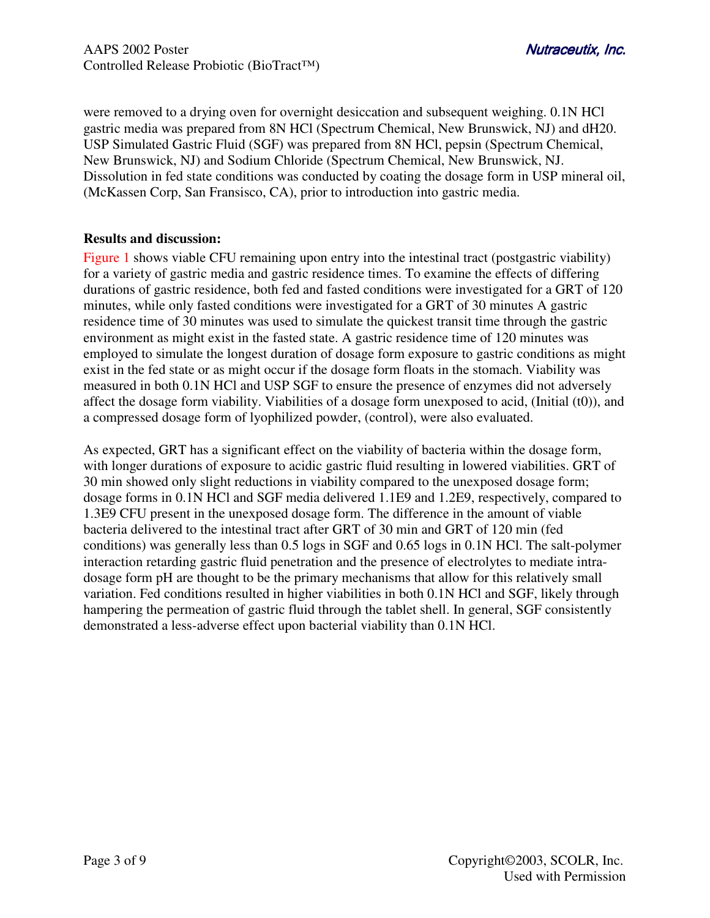were removed to a drying oven for overnight desiccation and subsequent weighing. 0.1N HCl gastric media was prepared from 8N HCl (Spectrum Chemical, New Brunswick, NJ) and dH20. USP Simulated Gastric Fluid (SGF) was prepared from 8N HCl, pepsin (Spectrum Chemical, New Brunswick, NJ) and Sodium Chloride (Spectrum Chemical, New Brunswick, NJ. Dissolution in fed state conditions was conducted by coating the dosage form in USP mineral oil, (McKassen Corp, San Fransisco, CA), prior to introduction into gastric media.

# **Results and discussion:**

Figure 1 shows viable CFU remaining upon entry into the intestinal tract (postgastric viability) for a variety of gastric media and gastric residence times. To examine the effects of differing durations of gastric residence, both fed and fasted conditions were investigated for a GRT of 120 minutes, while only fasted conditions were investigated for a GRT of 30 minutes A gastric residence time of 30 minutes was used to simulate the quickest transit time through the gastric environment as might exist in the fasted state. A gastric residence time of 120 minutes was employed to simulate the longest duration of dosage form exposure to gastric conditions as might exist in the fed state or as might occur if the dosage form floats in the stomach. Viability was measured in both 0.1N HCl and USP SGF to ensure the presence of enzymes did not adversely affect the dosage form viability. Viabilities of a dosage form unexposed to acid, (Initial (t0)), and a compressed dosage form of lyophilized powder, (control), were also evaluated.

As expected, GRT has a significant effect on the viability of bacteria within the dosage form, with longer durations of exposure to acidic gastric fluid resulting in lowered viabilities. GRT of 30 min showed only slight reductions in viability compared to the unexposed dosage form; dosage forms in 0.1N HCl and SGF media delivered 1.1E9 and 1.2E9, respectively, compared to 1.3E9 CFU present in the unexposed dosage form. The difference in the amount of viable bacteria delivered to the intestinal tract after GRT of 30 min and GRT of 120 min (fed conditions) was generally less than 0.5 logs in SGF and 0.65 logs in 0.1N HCl. The salt-polymer interaction retarding gastric fluid penetration and the presence of electrolytes to mediate intradosage form pH are thought to be the primary mechanisms that allow for this relatively small variation. Fed conditions resulted in higher viabilities in both 0.1N HCl and SGF, likely through hampering the permeation of gastric fluid through the tablet shell. In general, SGF consistently demonstrated a less-adverse effect upon bacterial viability than 0.1N HCl.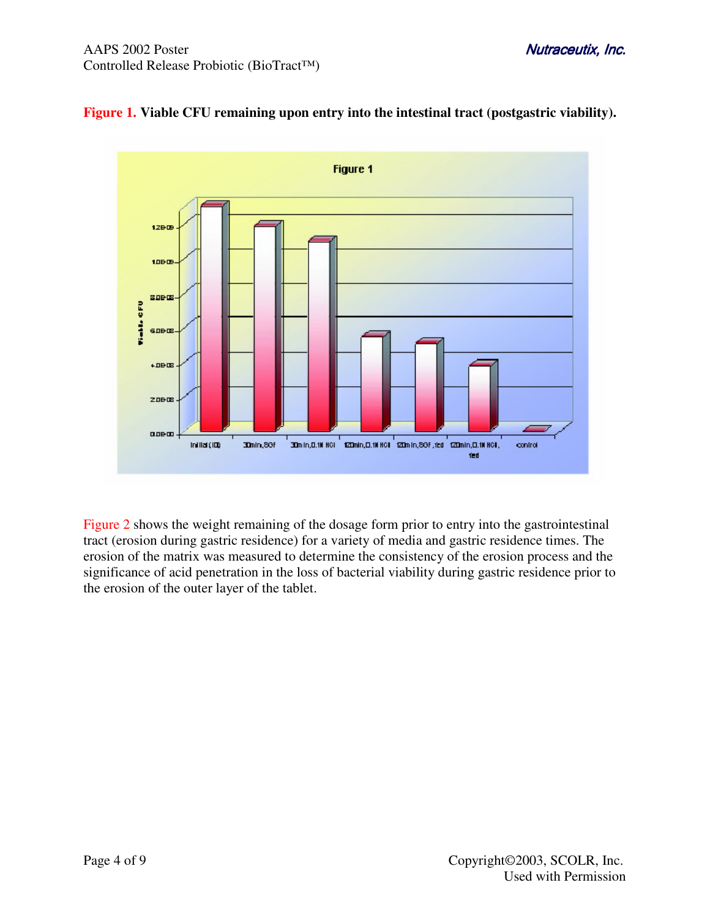

# **Figure 1. Viable CFU remaining upon entry into the intestinal tract (postgastric viability).**

Figure 2 shows the weight remaining of the dosage form prior to entry into the gastrointestinal tract (erosion during gastric residence) for a variety of media and gastric residence times. The erosion of the matrix was measured to determine the consistency of the erosion process and the significance of acid penetration in the loss of bacterial viability during gastric residence prior to the erosion of the outer layer of the tablet.

traceutix, Inc.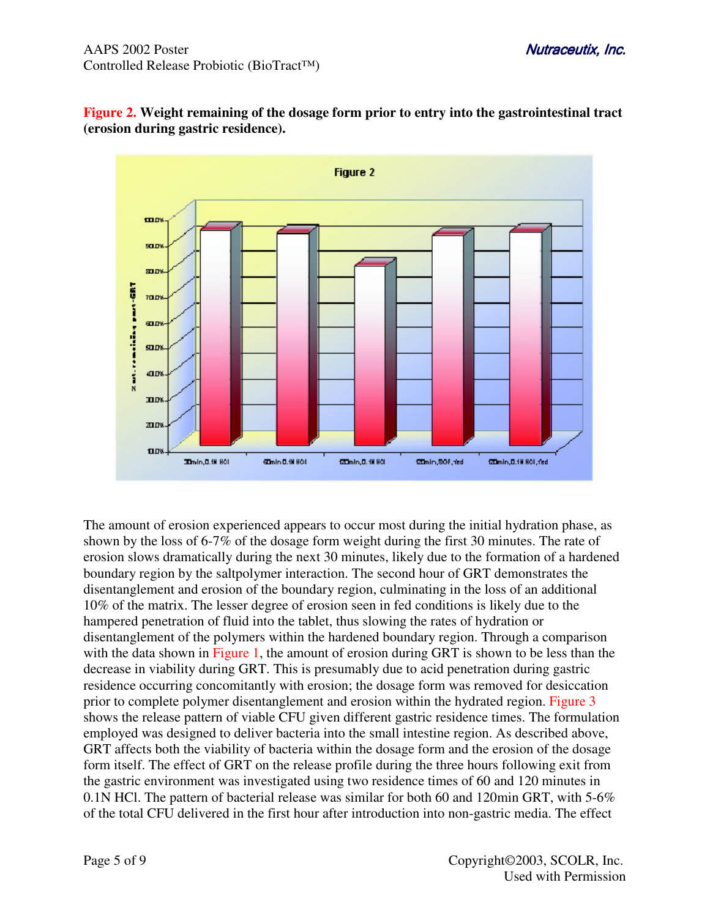



The amount of erosion experienced appears to occur most during the initial hydration phase, as shown by the loss of 6-7% of the dosage form weight during the first 30 minutes. The rate of erosion slows dramatically during the next 30 minutes, likely due to the formation of a hardened boundary region by the saltpolymer interaction. The second hour of GRT demonstrates the disentanglement and erosion of the boundary region, culminating in the loss of an additional 10% of the matrix. The lesser degree of erosion seen in fed conditions is likely due to the hampered penetration of fluid into the tablet, thus slowing the rates of hydration or disentanglement of the polymers within the hardened boundary region. Through a comparison with the data shown in Figure 1, the amount of erosion during GRT is shown to be less than the decrease in viability during GRT. This is presumably due to acid penetration during gastric residence occurring concomitantly with erosion; the dosage form was removed for desiccation prior to complete polymer disentanglement and erosion within the hydrated region. Figure 3 shows the release pattern of viable CFU given different gastric residence times. The formulation employed was designed to deliver bacteria into the small intestine region. As described above, GRT affects both the viability of bacteria within the dosage form and the erosion of the dosage form itself. The effect of GRT on the release profile during the three hours following exit from the gastric environment was investigated using two residence times of 60 and 120 minutes in 0.1N HCl. The pattern of bacterial release was similar for both 60 and 120min GRT, with 5-6% of the total CFU delivered in the first hour after introduction into non-gastric media. The effect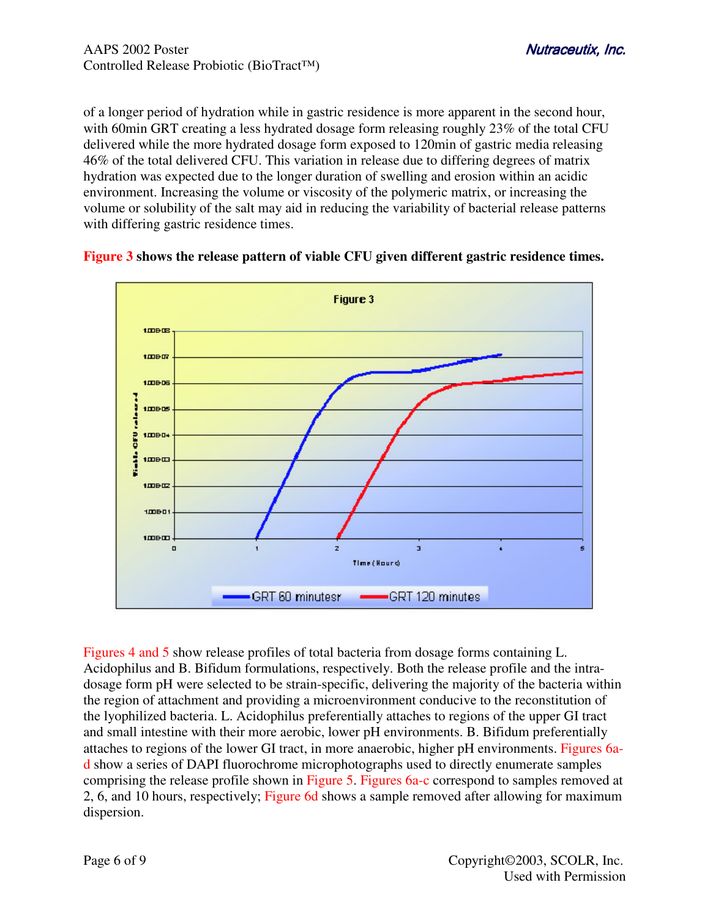of a longer period of hydration while in gastric residence is more apparent in the second hour, with 60min GRT creating a less hydrated dosage form releasing roughly 23% of the total CFU delivered while the more hydrated dosage form exposed to 120min of gastric media releasing 46% of the total delivered CFU. This variation in release due to differing degrees of matrix hydration was expected due to the longer duration of swelling and erosion within an acidic environment. Increasing the volume or viscosity of the polymeric matrix, or increasing the volume or solubility of the salt may aid in reducing the variability of bacterial release patterns with differing gastric residence times.



#### **Figure 3 shows the release pattern of viable CFU given different gastric residence times.**

Figures 4 and 5 show release profiles of total bacteria from dosage forms containing L. Acidophilus and B. Bifidum formulations, respectively. Both the release profile and the intradosage form pH were selected to be strain-specific, delivering the majority of the bacteria within the region of attachment and providing a microenvironment conducive to the reconstitution of the lyophilized bacteria. L. Acidophilus preferentially attaches to regions of the upper GI tract and small intestine with their more aerobic, lower pH environments. B. Bifidum preferentially attaches to regions of the lower GI tract, in more anaerobic, higher pH environments. Figures 6ad show a series of DAPI fluorochrome microphotographs used to directly enumerate samples comprising the release profile shown in Figure 5. Figures 6a-c correspond to samples removed at 2, 6, and 10 hours, respectively; Figure 6d shows a sample removed after allowing for maximum dispersion.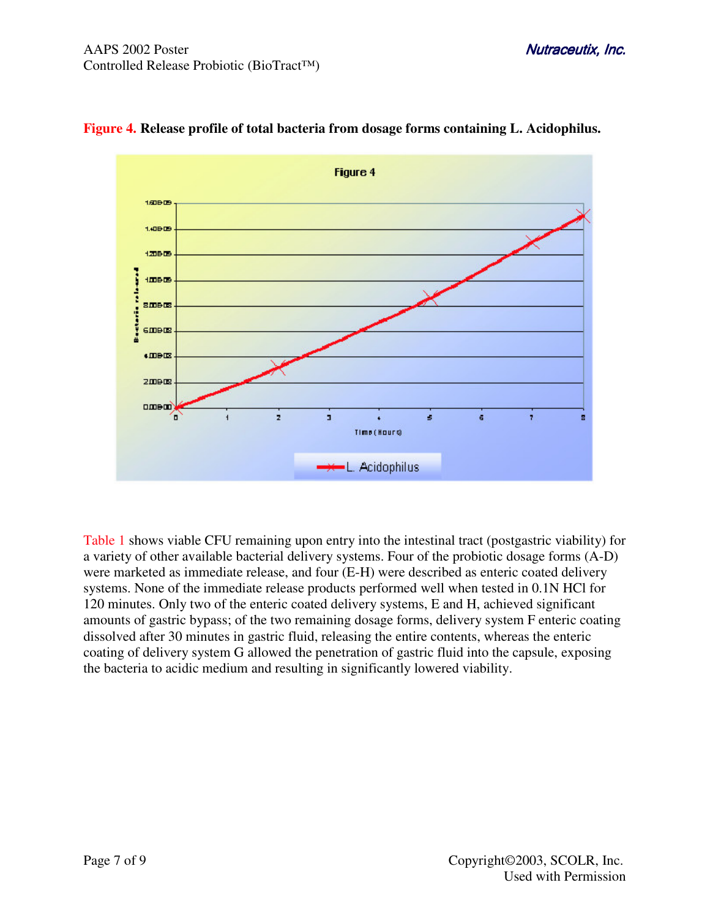

# **Figure 4. Release profile of total bacteria from dosage forms containing L. Acidophilus.**

Table 1 shows viable CFU remaining upon entry into the intestinal tract (postgastric viability) for a variety of other available bacterial delivery systems. Four of the probiotic dosage forms (A-D) were marketed as immediate release, and four (E-H) were described as enteric coated delivery systems. None of the immediate release products performed well when tested in 0.1N HCl for 120 minutes. Only two of the enteric coated delivery systems, E and H, achieved significant amounts of gastric bypass; of the two remaining dosage forms, delivery system F enteric coating dissolved after 30 minutes in gastric fluid, releasing the entire contents, whereas the enteric coating of delivery system G allowed the penetration of gastric fluid into the capsule, exposing the bacteria to acidic medium and resulting in significantly lowered viability.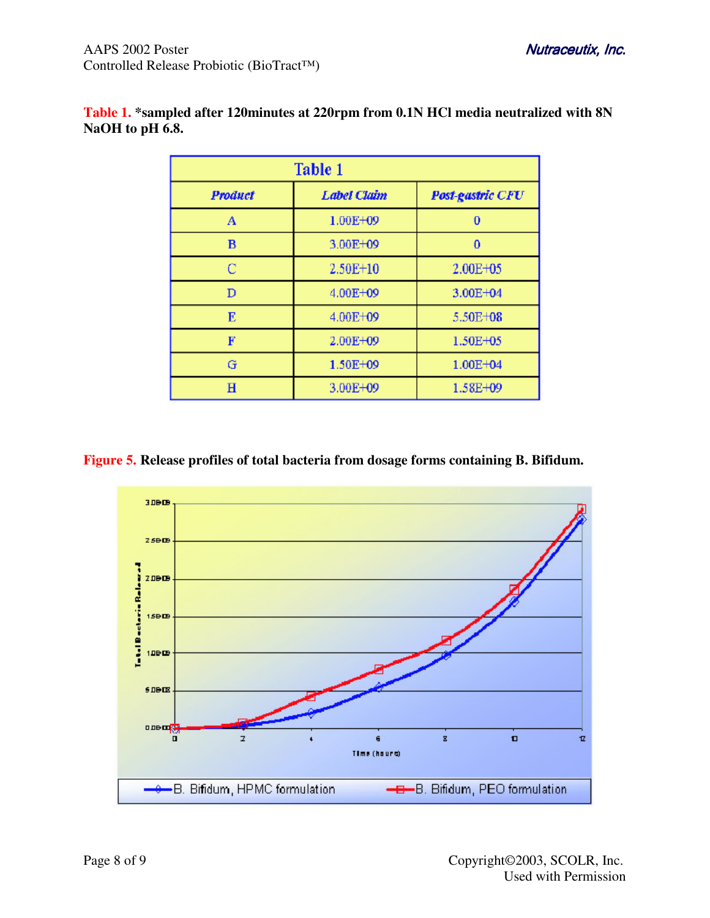| Table 1        |                    |                         |
|----------------|--------------------|-------------------------|
| <b>Product</b> | <b>Label Claim</b> | <b>Post-gastric CFU</b> |
| A              | 1.00E+09           | 0                       |
| в              | $3.00E + 09$       | $\bf{0}$                |
| С              | 2.50E+10           | 2.00E+05                |
| D              | 4.00E+09           | 3.00E+04                |
| E              | 4.00E+09           | 5.50E+08                |
| F              | 2.00E+09           | 1.50E+05                |
| G              | 1.50E+09           | 1.00E+04                |
| Н              | 3.00E+09           | 1.58E+09                |

# **Table 1. \*sampled after 120minutes at 220rpm from 0.1N HCl media neutralized with 8N NaOH to pH 6.8.**

**Figure 5. Release profiles of total bacteria from dosage forms containing B. Bifidum.**